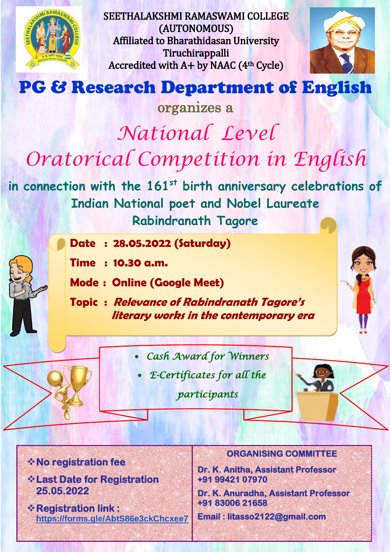

SEETHALAKSHMI RAMASWAMI COLLEGE (AUTONOMOUS) Affiliated to Bharathidasan University Tiruchirappalli Accredited with  $A+$  by NAAC ( $4<sup>th</sup>$  Cycle)



## PG & Research Department of English

organizes a *National Level Oratorical Competition in English*

**in connection with the 161st birth anniversary celebrations of Indian National poet and Nobel Laureate Rabindranath Tagore**

- **Date : 28.05.2022 (Saturday)**
- **Time : 10.30 a.m.**
- **Mode : Online (Google Meet)**
- **Topic : Relevance of Rabindranath Tagore's literary works in the contemporary era**
	- *Cash Award for Winners*
	- *E-Certificates for all the*

*participants* 



**No registration fee** 

- **Last Date for Registration 25.05.2022**
- **Registration link : <https://forms.gle/AbtS86e3ckChcxee7>**

## **ORGANISING COMMITTEE**

**Dr. K. Anitha, Assistant Professor +91 99421 07970** 

**Dr. K. Anuradha, Assistant Professor +91 83006 21658** 

**Email : litasso2122@gmail.com**